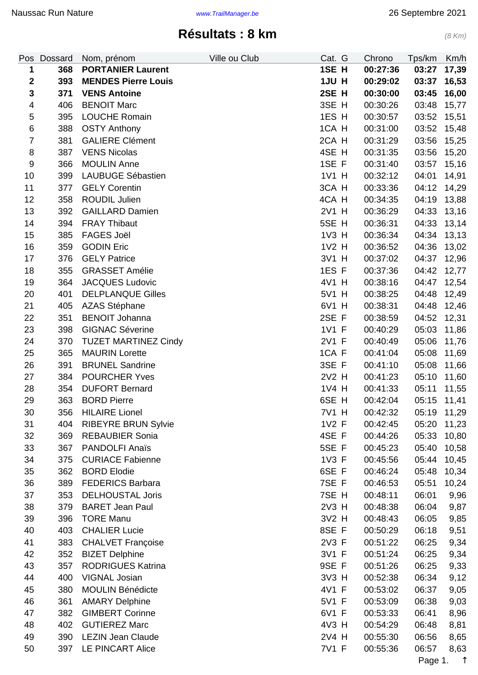## **Résultats : 8 km** (8 Km)

<span id="page-0-0"></span>

| 1SE H<br>368<br><b>PORTANIER Laurent</b><br>1<br>00:27:36<br>03:27<br>1JU H<br>$\boldsymbol{2}$<br>393<br><b>MENDES Pierre Louis</b><br>00:29:02<br>03:37<br>2SE H<br>3<br><b>VENS Antoine</b><br>371<br>00:30:00<br>03:45<br>$\overline{4}$<br><b>BENOIT Marc</b><br>3SE H<br>406<br>00:30:26<br>03:48<br>1ES H<br><b>LOUCHE Romain</b><br>5<br>395<br>00:30:57<br>03:52<br>$\,6$<br>1CA H<br>388<br><b>OSTY Anthony</b><br>00:31:00<br>03:52<br>2CA H<br>$\overline{7}$<br>381<br><b>GALIERE Clément</b><br>00:31:29<br>03:56<br>8<br>4SE H<br>387<br><b>VENS Nicolas</b><br>00:31:35<br>03:56<br>1SE F<br><b>MOULIN Anne</b><br>9<br>366<br>00:31:40<br>03:57<br>10<br>1V1 H<br>399<br><b>LAUBUGE Sébastien</b><br>00:32:12<br>04:01<br>3CA H<br><b>GELY Corentin</b><br>11<br>377<br>00:33:36<br>04:12<br>12<br>ROUDIL Julien<br>4CA H<br>358<br>00:34:35<br>04:19<br>2V1 H<br>13<br>392<br><b>GAILLARD Damien</b><br>00:36:29<br>04:33<br>5SE H<br>14<br>394<br><b>FRAY Thibaut</b><br>00:36:31<br>04:33<br><b>FAGES Joël</b><br>1V3 H<br>04:34<br>15<br>385<br>00:36:34<br>1V2 H<br>16<br>359<br><b>GODIN Eric</b><br>00:36:52<br>04:36<br>3V1 H<br>17<br>376<br><b>GELY Patrice</b><br>00:37:02<br>04:37<br>1ES F<br>18<br>355<br><b>GRASSET Amélie</b><br>00:37:36<br>04:42<br>4V1 H<br>19<br>364<br><b>JACQUES Ludovic</b><br>00:38:16<br>04:47<br>5V1 H<br>20<br>401<br><b>DELPLANQUE Gilles</b><br>00:38:25<br>04:48<br>21<br><b>AZAS Stéphane</b><br>6V1 H<br>405<br>00:38:31<br>04:48 | Tps/km<br>Km/h |
|----------------------------------------------------------------------------------------------------------------------------------------------------------------------------------------------------------------------------------------------------------------------------------------------------------------------------------------------------------------------------------------------------------------------------------------------------------------------------------------------------------------------------------------------------------------------------------------------------------------------------------------------------------------------------------------------------------------------------------------------------------------------------------------------------------------------------------------------------------------------------------------------------------------------------------------------------------------------------------------------------------------------------------------------------------------------------------------------------------------------------------------------------------------------------------------------------------------------------------------------------------------------------------------------------------------------------------------------------------------------------------------------------------------------------------------------------------------------------------------------------|----------------|
|                                                                                                                                                                                                                                                                                                                                                                                                                                                                                                                                                                                                                                                                                                                                                                                                                                                                                                                                                                                                                                                                                                                                                                                                                                                                                                                                                                                                                                                                                                    | 17,39          |
|                                                                                                                                                                                                                                                                                                                                                                                                                                                                                                                                                                                                                                                                                                                                                                                                                                                                                                                                                                                                                                                                                                                                                                                                                                                                                                                                                                                                                                                                                                    | 16,53          |
|                                                                                                                                                                                                                                                                                                                                                                                                                                                                                                                                                                                                                                                                                                                                                                                                                                                                                                                                                                                                                                                                                                                                                                                                                                                                                                                                                                                                                                                                                                    | 16,00          |
|                                                                                                                                                                                                                                                                                                                                                                                                                                                                                                                                                                                                                                                                                                                                                                                                                                                                                                                                                                                                                                                                                                                                                                                                                                                                                                                                                                                                                                                                                                    | 15,77          |
|                                                                                                                                                                                                                                                                                                                                                                                                                                                                                                                                                                                                                                                                                                                                                                                                                                                                                                                                                                                                                                                                                                                                                                                                                                                                                                                                                                                                                                                                                                    | 15,51          |
|                                                                                                                                                                                                                                                                                                                                                                                                                                                                                                                                                                                                                                                                                                                                                                                                                                                                                                                                                                                                                                                                                                                                                                                                                                                                                                                                                                                                                                                                                                    | 15,48          |
|                                                                                                                                                                                                                                                                                                                                                                                                                                                                                                                                                                                                                                                                                                                                                                                                                                                                                                                                                                                                                                                                                                                                                                                                                                                                                                                                                                                                                                                                                                    | 15,25          |
|                                                                                                                                                                                                                                                                                                                                                                                                                                                                                                                                                                                                                                                                                                                                                                                                                                                                                                                                                                                                                                                                                                                                                                                                                                                                                                                                                                                                                                                                                                    | 15,20          |
|                                                                                                                                                                                                                                                                                                                                                                                                                                                                                                                                                                                                                                                                                                                                                                                                                                                                                                                                                                                                                                                                                                                                                                                                                                                                                                                                                                                                                                                                                                    | 15,16          |
|                                                                                                                                                                                                                                                                                                                                                                                                                                                                                                                                                                                                                                                                                                                                                                                                                                                                                                                                                                                                                                                                                                                                                                                                                                                                                                                                                                                                                                                                                                    | 14,91          |
|                                                                                                                                                                                                                                                                                                                                                                                                                                                                                                                                                                                                                                                                                                                                                                                                                                                                                                                                                                                                                                                                                                                                                                                                                                                                                                                                                                                                                                                                                                    | 14,29          |
|                                                                                                                                                                                                                                                                                                                                                                                                                                                                                                                                                                                                                                                                                                                                                                                                                                                                                                                                                                                                                                                                                                                                                                                                                                                                                                                                                                                                                                                                                                    | 13,88          |
|                                                                                                                                                                                                                                                                                                                                                                                                                                                                                                                                                                                                                                                                                                                                                                                                                                                                                                                                                                                                                                                                                                                                                                                                                                                                                                                                                                                                                                                                                                    | 13,16          |
|                                                                                                                                                                                                                                                                                                                                                                                                                                                                                                                                                                                                                                                                                                                                                                                                                                                                                                                                                                                                                                                                                                                                                                                                                                                                                                                                                                                                                                                                                                    | 13,14          |
|                                                                                                                                                                                                                                                                                                                                                                                                                                                                                                                                                                                                                                                                                                                                                                                                                                                                                                                                                                                                                                                                                                                                                                                                                                                                                                                                                                                                                                                                                                    | 13,13          |
|                                                                                                                                                                                                                                                                                                                                                                                                                                                                                                                                                                                                                                                                                                                                                                                                                                                                                                                                                                                                                                                                                                                                                                                                                                                                                                                                                                                                                                                                                                    | 13,02          |
|                                                                                                                                                                                                                                                                                                                                                                                                                                                                                                                                                                                                                                                                                                                                                                                                                                                                                                                                                                                                                                                                                                                                                                                                                                                                                                                                                                                                                                                                                                    | 12,96          |
|                                                                                                                                                                                                                                                                                                                                                                                                                                                                                                                                                                                                                                                                                                                                                                                                                                                                                                                                                                                                                                                                                                                                                                                                                                                                                                                                                                                                                                                                                                    | 12,77          |
|                                                                                                                                                                                                                                                                                                                                                                                                                                                                                                                                                                                                                                                                                                                                                                                                                                                                                                                                                                                                                                                                                                                                                                                                                                                                                                                                                                                                                                                                                                    | 12,54          |
|                                                                                                                                                                                                                                                                                                                                                                                                                                                                                                                                                                                                                                                                                                                                                                                                                                                                                                                                                                                                                                                                                                                                                                                                                                                                                                                                                                                                                                                                                                    | 12,49          |
|                                                                                                                                                                                                                                                                                                                                                                                                                                                                                                                                                                                                                                                                                                                                                                                                                                                                                                                                                                                                                                                                                                                                                                                                                                                                                                                                                                                                                                                                                                    | 12,46          |
| 2SE F<br><b>BENOIT Johanna</b><br>22<br>351<br>00:38:59<br>04:52                                                                                                                                                                                                                                                                                                                                                                                                                                                                                                                                                                                                                                                                                                                                                                                                                                                                                                                                                                                                                                                                                                                                                                                                                                                                                                                                                                                                                                   | 12,31          |
| 23<br><b>GIGNAC Séverine</b><br>1V1 F<br>398<br>00:40:29<br>05:03                                                                                                                                                                                                                                                                                                                                                                                                                                                                                                                                                                                                                                                                                                                                                                                                                                                                                                                                                                                                                                                                                                                                                                                                                                                                                                                                                                                                                                  | 11,86          |
| 2V1 F<br>370<br><b>TUZET MARTINEZ Cindy</b><br>00:40:49<br>05:06<br>24                                                                                                                                                                                                                                                                                                                                                                                                                                                                                                                                                                                                                                                                                                                                                                                                                                                                                                                                                                                                                                                                                                                                                                                                                                                                                                                                                                                                                             | 11,76          |
| 25<br>365<br><b>MAURIN Lorette</b><br>1CA F<br>00:41:04<br>05:08                                                                                                                                                                                                                                                                                                                                                                                                                                                                                                                                                                                                                                                                                                                                                                                                                                                                                                                                                                                                                                                                                                                                                                                                                                                                                                                                                                                                                                   | 11,69          |
| 3SE F<br>26<br>391<br><b>BRUNEL Sandrine</b><br>00:41:10<br>05:08                                                                                                                                                                                                                                                                                                                                                                                                                                                                                                                                                                                                                                                                                                                                                                                                                                                                                                                                                                                                                                                                                                                                                                                                                                                                                                                                                                                                                                  | 11,66          |
| 2V2 H<br>27<br>384<br><b>POURCHER Yves</b><br>05:10<br>00:41:23                                                                                                                                                                                                                                                                                                                                                                                                                                                                                                                                                                                                                                                                                                                                                                                                                                                                                                                                                                                                                                                                                                                                                                                                                                                                                                                                                                                                                                    | 11,60          |
| <b>DUFORT Bernard</b><br>1V4 H<br>28<br>354<br>00:41:33<br>05:11                                                                                                                                                                                                                                                                                                                                                                                                                                                                                                                                                                                                                                                                                                                                                                                                                                                                                                                                                                                                                                                                                                                                                                                                                                                                                                                                                                                                                                   | 11,55          |
| 6SE H<br>29<br>363<br><b>BORD Pierre</b><br>00:42:04                                                                                                                                                                                                                                                                                                                                                                                                                                                                                                                                                                                                                                                                                                                                                                                                                                                                                                                                                                                                                                                                                                                                                                                                                                                                                                                                                                                                                                               | 05:15 11,41    |
| 30<br>356<br><b>HILAIRE Lionel</b><br>7V1 H<br>00:42:32                                                                                                                                                                                                                                                                                                                                                                                                                                                                                                                                                                                                                                                                                                                                                                                                                                                                                                                                                                                                                                                                                                                                                                                                                                                                                                                                                                                                                                            | 05:19 11,29    |
| <b>RIBEYRE BRUN Sylvie</b><br>1V2 F<br>31<br>404<br>00:42:45<br>05:20                                                                                                                                                                                                                                                                                                                                                                                                                                                                                                                                                                                                                                                                                                                                                                                                                                                                                                                                                                                                                                                                                                                                                                                                                                                                                                                                                                                                                              | 11,23          |
| 32<br>4SE F<br>369<br><b>REBAUBIER Sonia</b><br>05:33<br>00:44:26                                                                                                                                                                                                                                                                                                                                                                                                                                                                                                                                                                                                                                                                                                                                                                                                                                                                                                                                                                                                                                                                                                                                                                                                                                                                                                                                                                                                                                  | 10,80          |
| 5SE F<br>33<br>367<br><b>PANDOLFI Anaïs</b><br>05:40<br>00:45:23                                                                                                                                                                                                                                                                                                                                                                                                                                                                                                                                                                                                                                                                                                                                                                                                                                                                                                                                                                                                                                                                                                                                                                                                                                                                                                                                                                                                                                   | 10,58          |
| 34<br>1V3 F<br>375<br><b>CURIACE Fabienne</b><br>00:45:56<br>05:44                                                                                                                                                                                                                                                                                                                                                                                                                                                                                                                                                                                                                                                                                                                                                                                                                                                                                                                                                                                                                                                                                                                                                                                                                                                                                                                                                                                                                                 | 10,45          |
| 35<br>362<br>6SE F<br><b>BORD Elodie</b><br>00:46:24<br>05:48                                                                                                                                                                                                                                                                                                                                                                                                                                                                                                                                                                                                                                                                                                                                                                                                                                                                                                                                                                                                                                                                                                                                                                                                                                                                                                                                                                                                                                      | 10,34          |
| 36<br>7SE F<br>389<br><b>FEDERICS Barbara</b><br>00:46:53<br>05:51                                                                                                                                                                                                                                                                                                                                                                                                                                                                                                                                                                                                                                                                                                                                                                                                                                                                                                                                                                                                                                                                                                                                                                                                                                                                                                                                                                                                                                 | 10,24          |
| 7SE H<br>37<br>353<br><b>DELHOUSTAL Joris</b><br>00:48:11<br>06:01                                                                                                                                                                                                                                                                                                                                                                                                                                                                                                                                                                                                                                                                                                                                                                                                                                                                                                                                                                                                                                                                                                                                                                                                                                                                                                                                                                                                                                 | 9,96           |
| 2V3 H<br>38<br>379<br><b>BARET Jean Paul</b><br>00:48:38<br>06:04                                                                                                                                                                                                                                                                                                                                                                                                                                                                                                                                                                                                                                                                                                                                                                                                                                                                                                                                                                                                                                                                                                                                                                                                                                                                                                                                                                                                                                  | 9,87           |
| 3V2 H<br>39<br>396<br><b>TORE Manu</b><br>00:48:43<br>06:05                                                                                                                                                                                                                                                                                                                                                                                                                                                                                                                                                                                                                                                                                                                                                                                                                                                                                                                                                                                                                                                                                                                                                                                                                                                                                                                                                                                                                                        | 9,85           |
| 8SE F<br>40<br>403<br><b>CHALIER Lucie</b><br>00:50:29<br>06:18                                                                                                                                                                                                                                                                                                                                                                                                                                                                                                                                                                                                                                                                                                                                                                                                                                                                                                                                                                                                                                                                                                                                                                                                                                                                                                                                                                                                                                    | 9,51           |
| 2V3 F<br>41<br>383<br><b>CHALVET Françoise</b><br>00:51:22<br>06:25                                                                                                                                                                                                                                                                                                                                                                                                                                                                                                                                                                                                                                                                                                                                                                                                                                                                                                                                                                                                                                                                                                                                                                                                                                                                                                                                                                                                                                | 9,34           |
| 3V1 F<br>42<br>352<br><b>BIZET Delphine</b><br>00:51:24<br>06:25                                                                                                                                                                                                                                                                                                                                                                                                                                                                                                                                                                                                                                                                                                                                                                                                                                                                                                                                                                                                                                                                                                                                                                                                                                                                                                                                                                                                                                   | 9,34           |
| 43<br><b>RODRIGUES Katrina</b><br>9SE F<br>357<br>06:25<br>00:51:26                                                                                                                                                                                                                                                                                                                                                                                                                                                                                                                                                                                                                                                                                                                                                                                                                                                                                                                                                                                                                                                                                                                                                                                                                                                                                                                                                                                                                                | 9,33           |
| 3V3 H<br>44<br>400<br>VIGNAL Josian<br>00:52:38<br>06:34                                                                                                                                                                                                                                                                                                                                                                                                                                                                                                                                                                                                                                                                                                                                                                                                                                                                                                                                                                                                                                                                                                                                                                                                                                                                                                                                                                                                                                           | 9,12           |
| 45<br>380<br><b>MOULIN Bénédicte</b><br>4V1 F<br>00:53:02<br>06:37                                                                                                                                                                                                                                                                                                                                                                                                                                                                                                                                                                                                                                                                                                                                                                                                                                                                                                                                                                                                                                                                                                                                                                                                                                                                                                                                                                                                                                 | 9,05           |
| <b>AMARY Delphine</b><br>5V1 F<br>46<br>361<br>00:53:09<br>06:38                                                                                                                                                                                                                                                                                                                                                                                                                                                                                                                                                                                                                                                                                                                                                                                                                                                                                                                                                                                                                                                                                                                                                                                                                                                                                                                                                                                                                                   | 9,03           |
| 47<br>6V1 F<br>382<br><b>GIMBERT Corinne</b><br>00:53:33<br>06:41                                                                                                                                                                                                                                                                                                                                                                                                                                                                                                                                                                                                                                                                                                                                                                                                                                                                                                                                                                                                                                                                                                                                                                                                                                                                                                                                                                                                                                  | 8,96           |
| 4V3 H<br>48<br>402<br><b>GUTIEREZ Marc</b><br>00:54:29<br>06:48                                                                                                                                                                                                                                                                                                                                                                                                                                                                                                                                                                                                                                                                                                                                                                                                                                                                                                                                                                                                                                                                                                                                                                                                                                                                                                                                                                                                                                    | 8,81           |
| 2V4 H<br>49<br>390<br><b>LEZIN Jean Claude</b><br>00:55:30<br>06:56                                                                                                                                                                                                                                                                                                                                                                                                                                                                                                                                                                                                                                                                                                                                                                                                                                                                                                                                                                                                                                                                                                                                                                                                                                                                                                                                                                                                                                | 8,65           |
| 7V1 F<br>50<br>397<br><b>LE PINCART Alice</b><br>00:55:36<br>06:57                                                                                                                                                                                                                                                                                                                                                                                                                                                                                                                                                                                                                                                                                                                                                                                                                                                                                                                                                                                                                                                                                                                                                                                                                                                                                                                                                                                                                                 | 8,63           |

Page 1. ↑